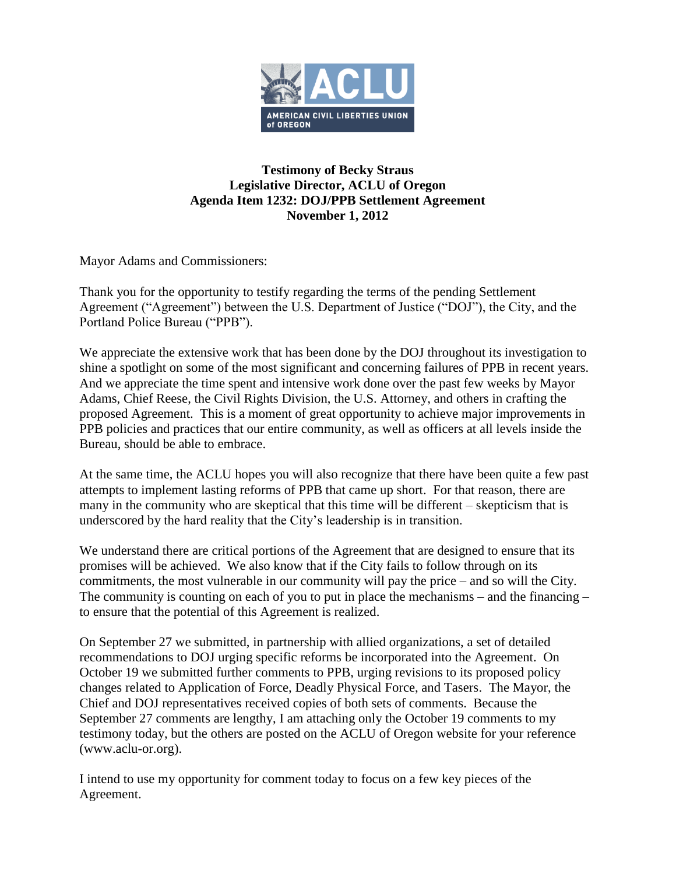

# **Testimony of Becky Straus Legislative Director, ACLU of Oregon Agenda Item 1232: DOJ/PPB Settlement Agreement November 1, 2012**

Mayor Adams and Commissioners:

Thank you for the opportunity to testify regarding the terms of the pending Settlement Agreement ("Agreement") between the U.S. Department of Justice ("DOJ"), the City, and the Portland Police Bureau ("PPB").

We appreciate the extensive work that has been done by the DOJ throughout its investigation to shine a spotlight on some of the most significant and concerning failures of PPB in recent years. And we appreciate the time spent and intensive work done over the past few weeks by Mayor Adams, Chief Reese, the Civil Rights Division, the U.S. Attorney, and others in crafting the proposed Agreement. This is a moment of great opportunity to achieve major improvements in PPB policies and practices that our entire community, as well as officers at all levels inside the Bureau, should be able to embrace.

At the same time, the ACLU hopes you will also recognize that there have been quite a few past attempts to implement lasting reforms of PPB that came up short. For that reason, there are many in the community who are skeptical that this time will be different – skepticism that is underscored by the hard reality that the City's leadership is in transition.

We understand there are critical portions of the Agreement that are designed to ensure that its promises will be achieved. We also know that if the City fails to follow through on its commitments, the most vulnerable in our community will pay the price – and so will the City. The community is counting on each of you to put in place the mechanisms – and the financing – to ensure that the potential of this Agreement is realized.

On September 27 we submitted, in partnership with allied organizations, a set of detailed recommendations to DOJ urging specific reforms be incorporated into the Agreement. On October 19 we submitted further comments to PPB, urging revisions to its proposed policy changes related to Application of Force, Deadly Physical Force, and Tasers. The Mayor, the Chief and DOJ representatives received copies of both sets of comments. Because the September 27 comments are lengthy, I am attaching only the October 19 comments to my testimony today, but the others are posted on the ACLU of Oregon website for your reference (www.aclu-or.org).

I intend to use my opportunity for comment today to focus on a few key pieces of the Agreement.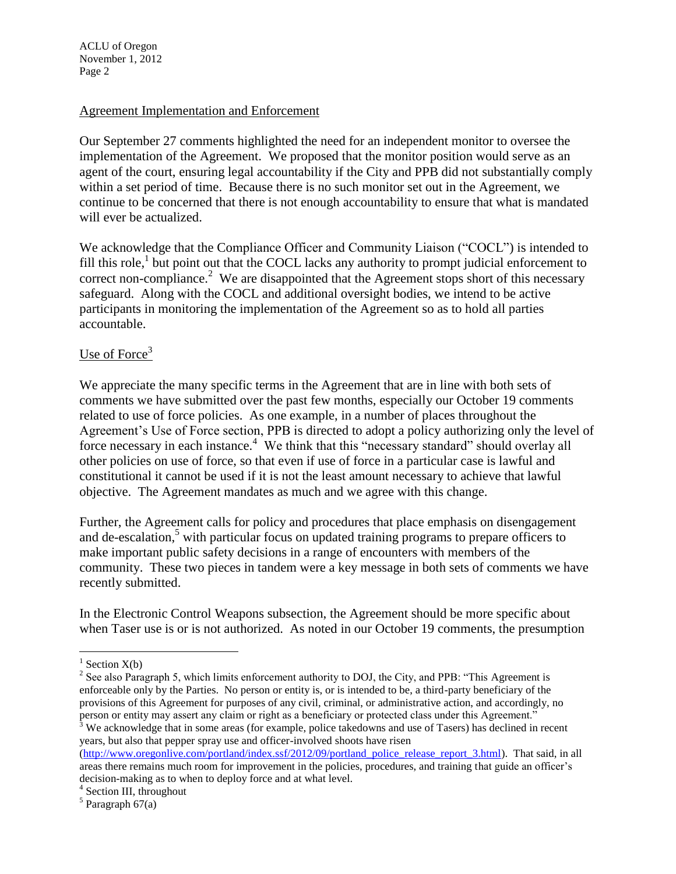#### Agreement Implementation and Enforcement

Our September 27 comments highlighted the need for an independent monitor to oversee the implementation of the Agreement. We proposed that the monitor position would serve as an agent of the court, ensuring legal accountability if the City and PPB did not substantially comply within a set period of time. Because there is no such monitor set out in the Agreement, we continue to be concerned that there is not enough accountability to ensure that what is mandated will ever be actualized.

We acknowledge that the Compliance Officer and Community Liaison ("COCL") is intended to fill this role,<sup>1</sup> but point out that the COCL lacks any authority to prompt judicial enforcement to correct non-compliance.<sup>2</sup> We are disappointed that the Agreement stops short of this necessary safeguard. Along with the COCL and additional oversight bodies, we intend to be active participants in monitoring the implementation of the Agreement so as to hold all parties accountable.

### Use of Force $3$

We appreciate the many specific terms in the Agreement that are in line with both sets of comments we have submitted over the past few months, especially our October 19 comments related to use of force policies. As one example, in a number of places throughout the Agreement's Use of Force section, PPB is directed to adopt a policy authorizing only the level of force necessary in each instance.<sup>4</sup> We think that this "necessary standard" should overlay all other policies on use of force, so that even if use of force in a particular case is lawful and constitutional it cannot be used if it is not the least amount necessary to achieve that lawful objective. The Agreement mandates as much and we agree with this change.

Further, the Agreement calls for policy and procedures that place emphasis on disengagement and de-escalation, $5$  with particular focus on updated training programs to prepare officers to make important public safety decisions in a range of encounters with members of the community. These two pieces in tandem were a key message in both sets of comments we have recently submitted.

In the Electronic Control Weapons subsection, the Agreement should be more specific about when Taser use is or is not authorized. As noted in our October 19 comments, the presumption

 $\overline{a}$ 

 $1$  Section X(b)

<sup>&</sup>lt;sup>2</sup> See also Paragraph 5, which limits enforcement authority to DOJ, the City, and PPB: "This Agreement is enforceable only by the Parties. No person or entity is, or is intended to be, a third-party beneficiary of the provisions of this Agreement for purposes of any civil, criminal, or administrative action, and accordingly, no person or entity may assert any claim or right as a beneficiary or protected class under this Agreement."

 $3$  We acknowledge that in some areas (for example, police takedowns and use of Tasers) has declined in recent years, but also that pepper spray use and officer-involved shoots have risen

[<sup>\(</sup>http://www.oregonlive.com/portland/index.ssf/2012/09/portland\\_police\\_release\\_report\\_3.html\)](http://www.oregonlive.com/portland/index.ssf/2012/09/portland_police_release_report_3.html). That said, in all areas there remains much room for improvement in the policies, procedures, and training that guide an officer's decision-making as to when to deploy force and at what level.

<sup>&</sup>lt;sup>4</sup> Section III, throughout

 $<sup>5</sup>$  Paragraph 67(a)</sup>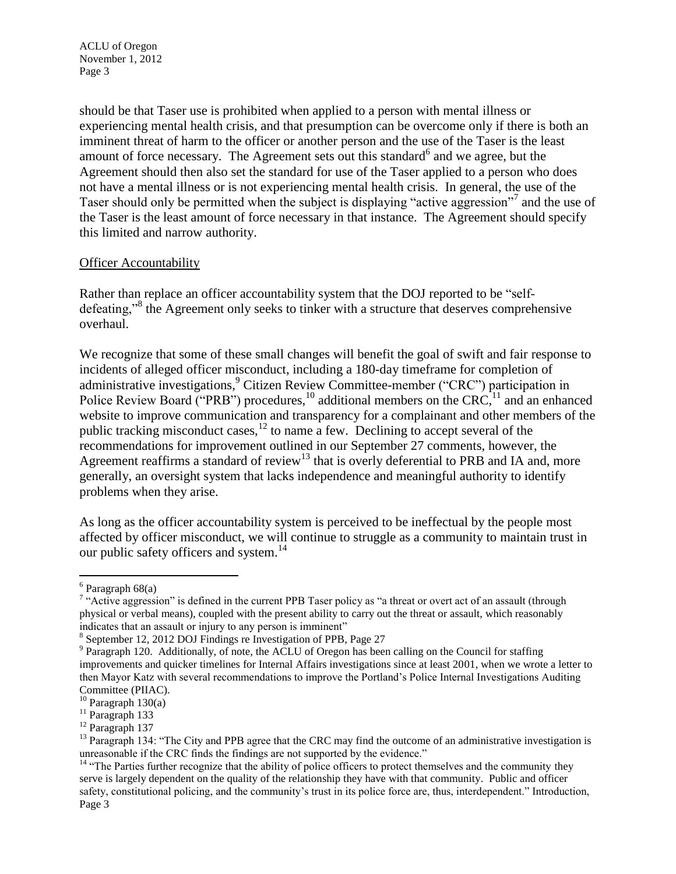should be that Taser use is prohibited when applied to a person with mental illness or experiencing mental health crisis, and that presumption can be overcome only if there is both an imminent threat of harm to the officer or another person and the use of the Taser is the least amount of force necessary. The Agreement sets out this standard<sup>6</sup> and we agree, but the Agreement should then also set the standard for use of the Taser applied to a person who does not have a mental illness or is not experiencing mental health crisis. In general, the use of the Taser should only be permitted when the subject is displaying "active aggression"<sup>7</sup> and the use of the Taser is the least amount of force necessary in that instance. The Agreement should specify this limited and narrow authority.

### Officer Accountability

Rather than replace an officer accountability system that the DOJ reported to be "selfdefeating,"<sup>8</sup> the Agreement only seeks to tinker with a structure that deserves comprehensive overhaul.

We recognize that some of these small changes will benefit the goal of swift and fair response to incidents of alleged officer misconduct, including a 180-day timeframe for completion of administrative investigations,<sup>9</sup> Citizen Review Committee-member ("CRC") participation in Police Review Board ("PRB") procedures,<sup>10</sup> additional members on the CRC,<sup>11</sup> and an enhanced website to improve communication and transparency for a complainant and other members of the public tracking misconduct cases, $^{12}$  to name a few. Declining to accept several of the recommendations for improvement outlined in our September 27 comments, however, the Agreement reaffirms a standard of review<sup>13</sup> that is overly deferential to PRB and IA and, more generally, an oversight system that lacks independence and meaningful authority to identify problems when they arise.

As long as the officer accountability system is perceived to be ineffectual by the people most affected by officer misconduct, we will continue to struggle as a community to maintain trust in our public safety officers and system.<sup>14</sup>

 $\overline{a}$ 

 $6$  Paragraph  $68(a)$ 

<sup>&</sup>lt;sup>7</sup> "Active aggression" is defined in the current PPB Taser policy as "a threat or overt act of an assault (through physical or verbal means), coupled with the present ability to carry out the threat or assault, which reasonably indicates that an assault or injury to any person is imminent"

<sup>8</sup> September 12, 2012 DOJ Findings re Investigation of PPB, Page 27

<sup>&</sup>lt;sup>9</sup> Paragraph 120. Additionally, of note, the ACLU of Oregon has been calling on the Council for staffing improvements and quicker timelines for Internal Affairs investigations since at least 2001, when we wrote a letter to then Mayor Katz with several recommendations to improve the Portland's Police Internal Investigations Auditing Committee (PIIAC).

 $10$  Paragraph 130(a)

 $11$  Paragraph 133

<sup>12</sup> Paragraph 137

 $<sup>13</sup>$  Paragraph 134: "The City and PPB agree that the CRC may find the outcome of an administrative investigation is</sup> unreasonable if the CRC finds the findings are not supported by the evidence."

<sup>&</sup>lt;sup>14</sup> "The Parties further recognize that the ability of police officers to protect themselves and the community they serve is largely dependent on the quality of the relationship they have with that community. Public and officer safety, constitutional policing, and the community's trust in its police force are, thus, interdependent." Introduction, Page 3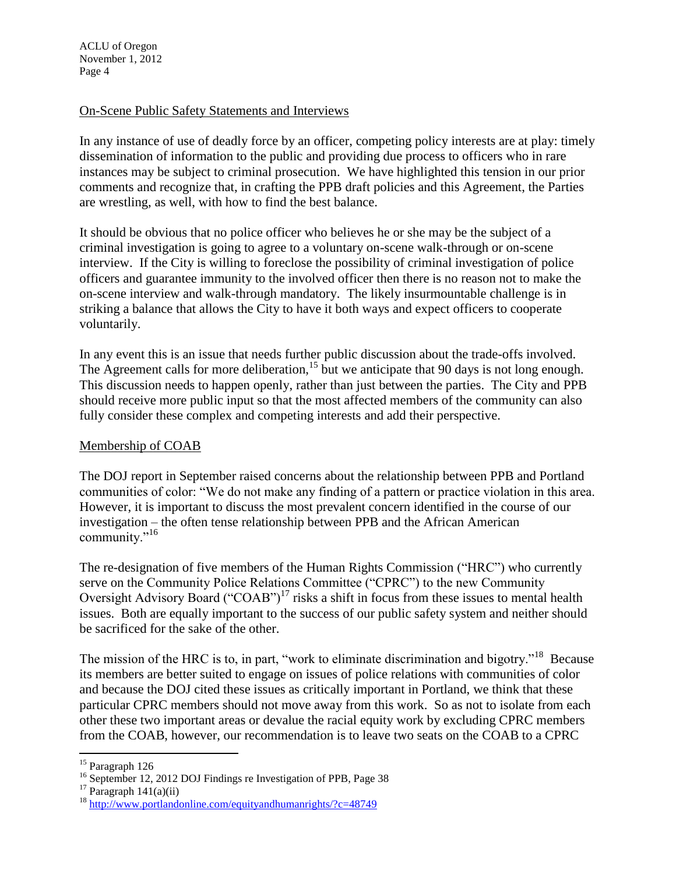### On-Scene Public Safety Statements and Interviews

In any instance of use of deadly force by an officer, competing policy interests are at play: timely dissemination of information to the public and providing due process to officers who in rare instances may be subject to criminal prosecution. We have highlighted this tension in our prior comments and recognize that, in crafting the PPB draft policies and this Agreement, the Parties are wrestling, as well, with how to find the best balance.

It should be obvious that no police officer who believes he or she may be the subject of a criminal investigation is going to agree to a voluntary on-scene walk-through or on-scene interview. If the City is willing to foreclose the possibility of criminal investigation of police officers and guarantee immunity to the involved officer then there is no reason not to make the on-scene interview and walk-through mandatory. The likely insurmountable challenge is in striking a balance that allows the City to have it both ways and expect officers to cooperate voluntarily.

In any event this is an issue that needs further public discussion about the trade-offs involved. The Agreement calls for more deliberation,  $^{15}$  but we anticipate that 90 days is not long enough. This discussion needs to happen openly, rather than just between the parties. The City and PPB should receive more public input so that the most affected members of the community can also fully consider these complex and competing interests and add their perspective.

## Membership of COAB

The DOJ report in September raised concerns about the relationship between PPB and Portland communities of color: "We do not make any finding of a pattern or practice violation in this area. However, it is important to discuss the most prevalent concern identified in the course of our investigation – the often tense relationship between PPB and the African American community."<sup>16</sup>

The re-designation of five members of the Human Rights Commission ("HRC") who currently serve on the Community Police Relations Committee ("CPRC") to the new Community Oversight Advisory Board ("COAB")<sup>17</sup> risks a shift in focus from these issues to mental health issues. Both are equally important to the success of our public safety system and neither should be sacrificed for the sake of the other.

The mission of the HRC is to, in part, "work to eliminate discrimination and bigotry."<sup>18</sup> Because its members are better suited to engage on issues of police relations with communities of color and because the DOJ cited these issues as critically important in Portland, we think that these particular CPRC members should not move away from this work. So as not to isolate from each other these two important areas or devalue the racial equity work by excluding CPRC members from the COAB, however, our recommendation is to leave two seats on the COAB to a CPRC

 $\overline{a}$ 

<sup>&</sup>lt;sup>15</sup> Paragraph 126

<sup>&</sup>lt;sup>16</sup> September 12, 2012 DOJ Findings re Investigation of PPB, Page 38

 $17$  Paragraph  $141(a)(ii)$ 

<sup>18</sup> <http://www.portlandonline.com/equityandhumanrights/?c=48749>